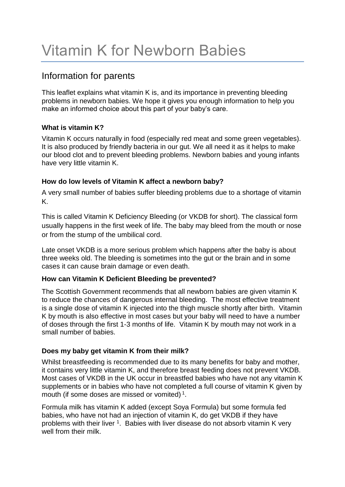# Vitamin K for Newborn Babies

## Information for parents

This leaflet explains what vitamin K is, and its importance in preventing bleeding problems in newborn babies. We hope it gives you enough information to help you make an informed choice about this part of your baby's care.

#### **What is vitamin K?**

Vitamin K occurs naturally in food (especially red meat and some green vegetables). It is also produced by friendly bacteria in our gut. We all need it as it helps to make our blood clot and to prevent bleeding problems. Newborn babies and young infants have very little vitamin K.

#### **How do low levels of Vitamin K affect a newborn baby?**

A very small number of babies suffer bleeding problems due to a shortage of vitamin K.

This is called Vitamin K Deficiency Bleeding (or VKDB for short). The classical form usually happens in the first week of life. The baby may bleed from the mouth or nose or from the stump of the umbilical cord.

Late onset VKDB is a more serious problem which happens after the baby is about three weeks old. The bleeding is sometimes into the gut or the brain and in some cases it can cause brain damage or even death.

#### **How can Vitamin K Deficient Bleeding be prevented?**

The Scottish Government recommends that all newborn babies are given vitamin K to reduce the chances of dangerous internal bleeding. The most effective treatment is a single dose of vitamin K injected into the thigh muscle shortly after birth. Vitamin K by mouth is also effective in most cases but your baby will need to have a number of doses through the first 1-3 months of life. Vitamin K by mouth may not work in a small number of babies.

#### **Does my baby get vitamin K from their milk?**

Whilst breastfeeding is recommended due to its many benefits for baby and mother, it contains very little vitamin K, and therefore breast feeding does not prevent VKDB. Most cases of VKDB in the UK occur in breastfed babies who have not any vitamin K supplements or in babies who have not completed a full course of vitamin K given by mouth (if some doses are missed or vomited)<sup>1</sup>.

Formula milk has vitamin K added (except Soya Formula) but some formula fed babies, who have not had an injection of vitamin K, do get VKDB if they have problems with their liver <sup>1</sup>. Babies with liver disease do not absorb vitamin K very well from their milk.